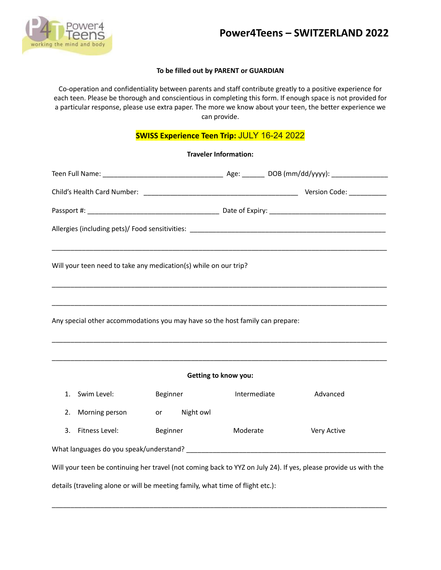

### **To be filled out by PARENT or GUARDIAN**

Co-operation and confidentiality between parents and staff contribute greatly to a positive experience for each teen. Please be thorough and conscientious in completing this form. If enough space is not provided for a particular response, please use extra paper. The more we know about your teen, the better experience we can provide.

# **SWISS Experience Teen Trip:** JULY 16-24 2022

**Traveler Information:**

|                             | Will your teen need to take any medication(s) while on our trip?               |          |              |              |  |                                                                                                                 |  |
|-----------------------------|--------------------------------------------------------------------------------|----------|--------------|--------------|--|-----------------------------------------------------------------------------------------------------------------|--|
|                             | Any special other accommodations you may have so the host family can prepare:  |          |              |              |  |                                                                                                                 |  |
| <b>Getting to know you:</b> |                                                                                |          |              |              |  |                                                                                                                 |  |
| 1.                          | Swim Level:                                                                    | Beginner |              | Intermediate |  | Advanced                                                                                                        |  |
| 2.                          | Morning person                                                                 |          | or Night owl |              |  |                                                                                                                 |  |
| 3.                          | Fitness Level:                                                                 | Beginner |              | Moderate     |  | Very Active                                                                                                     |  |
|                             |                                                                                |          |              |              |  |                                                                                                                 |  |
|                             |                                                                                |          |              |              |  | Will your teen be continuing her travel (not coming back to YYZ on July 24). If yes, please provide us with the |  |
|                             | details (traveling alone or will be meeting family, what time of flight etc.): |          |              |              |  |                                                                                                                 |  |

\_\_\_\_\_\_\_\_\_\_\_\_\_\_\_\_\_\_\_\_\_\_\_\_\_\_\_\_\_\_\_\_\_\_\_\_\_\_\_\_\_\_\_\_\_\_\_\_\_\_\_\_\_\_\_\_\_\_\_\_\_\_\_\_\_\_\_\_\_\_\_\_\_\_\_\_\_\_\_\_\_\_\_\_\_\_\_\_\_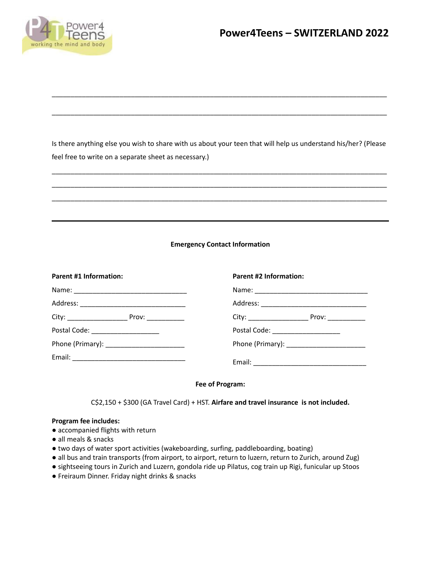

Is there anything else you wish to share with us about your teen that will help us understand his/her? (Please feel free to write on a separate sheet as necessary.)

\_\_\_\_\_\_\_\_\_\_\_\_\_\_\_\_\_\_\_\_\_\_\_\_\_\_\_\_\_\_\_\_\_\_\_\_\_\_\_\_\_\_\_\_\_\_\_\_\_\_\_\_\_\_\_\_\_\_\_\_\_\_\_\_\_\_\_\_\_\_\_\_\_\_\_\_\_\_\_\_\_\_\_\_\_\_\_\_\_ \_\_\_\_\_\_\_\_\_\_\_\_\_\_\_\_\_\_\_\_\_\_\_\_\_\_\_\_\_\_\_\_\_\_\_\_\_\_\_\_\_\_\_\_\_\_\_\_\_\_\_\_\_\_\_\_\_\_\_\_\_\_\_\_\_\_\_\_\_\_\_\_\_\_\_\_\_\_\_\_\_\_\_\_\_\_\_\_\_ \_\_\_\_\_\_\_\_\_\_\_\_\_\_\_\_\_\_\_\_\_\_\_\_\_\_\_\_\_\_\_\_\_\_\_\_\_\_\_\_\_\_\_\_\_\_\_\_\_\_\_\_\_\_\_\_\_\_\_\_\_\_\_\_\_\_\_\_\_\_\_\_\_\_\_\_\_\_\_\_\_\_\_\_\_\_\_\_\_

\_\_\_\_\_\_\_\_\_\_\_\_\_\_\_\_\_\_\_\_\_\_\_\_\_\_\_\_\_\_\_\_\_\_\_\_\_\_\_\_\_\_\_\_\_\_\_\_\_\_\_\_\_\_\_\_\_\_\_\_\_\_\_\_\_\_\_\_\_\_\_\_\_\_\_\_\_\_\_\_\_\_\_\_\_\_\_\_\_

\_\_\_\_\_\_\_\_\_\_\_\_\_\_\_\_\_\_\_\_\_\_\_\_\_\_\_\_\_\_\_\_\_\_\_\_\_\_\_\_\_\_\_\_\_\_\_\_\_\_\_\_\_\_\_\_\_\_\_\_\_\_\_\_\_\_\_\_\_\_\_\_\_\_\_\_\_\_\_\_\_\_\_\_\_\_\_\_\_

## **Emergency Contact Information**

| <b>Parent #1 Information:</b>    | <b>Parent #2 Information:</b>      |  |  |  |
|----------------------------------|------------------------------------|--|--|--|
|                                  |                                    |  |  |  |
|                                  |                                    |  |  |  |
|                                  |                                    |  |  |  |
| Postal Code: ___________________ | Postal Code: _____________________ |  |  |  |
|                                  |                                    |  |  |  |
|                                  |                                    |  |  |  |

#### **Fee of Program:**

C\$2,150 + \$300 (GA Travel Card) + HST. **Airfare and travel insurance is not included.**

#### **Program fee includes:**

- accompanied flights with return
- all meals & snacks
- two days of water sport activities (wakeboarding, surfing, paddleboarding, boating)
- all bus and train transports (from airport, to airport, return to luzern, return to Zurich, around Zug)
- sightseeing tours in Zurich and Luzern, gondola ride up Pilatus, cog train up Rigi, funicular up Stoos
- Freiraum Dinner. Friday night drinks & snacks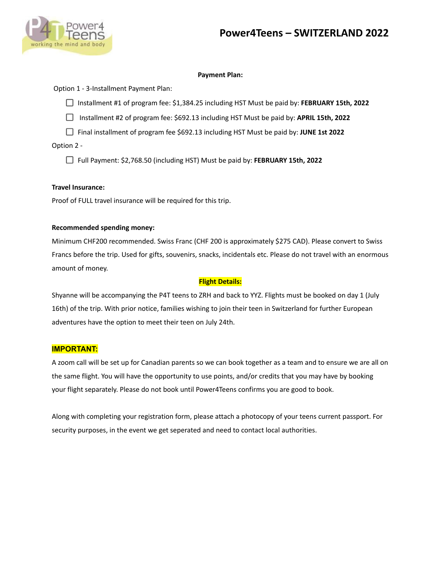

## **Payment Plan:**

Option 1 - 3-Installment Payment Plan:

Installment #1 of program fee: \$1,384.25 including HST Must be paid by: **FEBRUARY 15th, 2022**

Installment #2 of program fee: \$692.13 including HST Must be paid by: **APRIL 15th, 2022**

Final installment of program fee \$692.13 including HST Must be paid by: **JUNE 1st 2022**

Option 2 -

Full Payment: \$2,768.50 (including HST) Must be paid by: **FEBRUARY 15th, 2022**

## **Travel Insurance:**

Proof of FULL travel insurance will be required for this trip.

## **Recommended spending money:**

Minimum CHF200 recommended. Swiss Franc (CHF 200 is approximately \$275 CAD). Please convert to Swiss Francs before the trip. Used for gifts, souvenirs, snacks, incidentals etc. Please do not travel with an enormous amount of money.

# **Flight Details:**

Shyanne will be accompanying the P4T teens to ZRH and back to YYZ. Flights must be booked on day 1 (July 16th) of the trip. With prior notice, families wishing to join their teen in Switzerland for further European adventures have the option to meet their teen on July 24th.

# **IMPORTANT:**

A zoom call will be set up for Canadian parents so we can book together as a team and to ensure we are all on the same flight. You will have the opportunity to use points, and/or credits that you may have by booking your flight separately. Please do not book until Power4Teens confirms you are good to book.

Along with completing your registration form, please attach a photocopy of your teens current passport. For security purposes, in the event we get seperated and need to contact local authorities.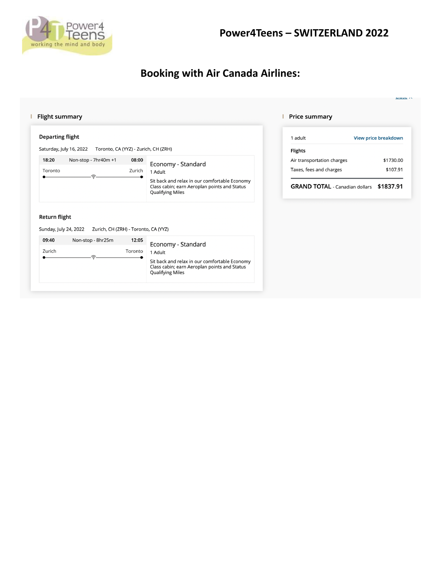

# **Booking with Air Canada Airlines:**

#### **Flight summary Price summary Departing flight** 1 adult View price breakdown Saturday, July 16, 2022 Toronto, CA (YYZ) - Zurich, CH (ZRH) Flights 18:20 Non-stop - 7hr40m +1 08:00 \$1730.00 Air transportation charges Economy - Standard Taxes, fees and charges \$107.91 Toronto Zurich 1 Adult Sit back and relax in our comfortable Economy Class cabin; earn Aeroplan points and Status GRAND TOTAL - Canadian dollars \$1837.91 **Qualifying Miles** Return flight Sunday, July 24, 2022 Zurich, CH (ZRH) - Toronto, CA (YYZ) 09:40 Non-stop - 8hr25m 12:05 Economy - Standard Zurich Toronto 1 Adult Sit back and relax in our comfortable Economy<br>Class cabin; earn Aeroplan points and Status<br>Qualifying Miles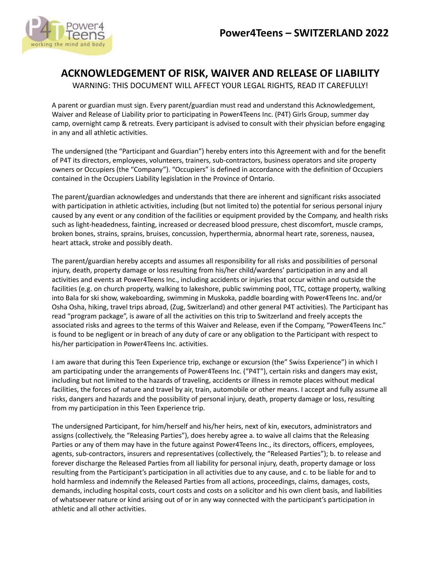

# **ACKNOWLEDGEMENT OF RISK, WAIVER AND RELEASE OF LIABILITY**

WARNING: THIS DOCUMENT WILL AFFECT YOUR LEGAL RIGHTS, READ IT CAREFULLY!

A parent or guardian must sign. Every parent/guardian must read and understand this Acknowledgement, Waiver and Release of Liability prior to participating in Power4Teens Inc. (P4T) Girls Group, summer day camp, overnight camp & retreats. Every participant is advised to consult with their physician before engaging in any and all athletic activities.

The undersigned (the "Participant and Guardian") hereby enters into this Agreement with and for the benefit of P4T its directors, employees, volunteers, trainers, sub-contractors, business operators and site property owners or Occupiers (the "Company"). "Occupiers" is defined in accordance with the definition of Occupiers contained in the Occupiers Liability legislation in the Province of Ontario.

The parent/guardian acknowledges and understands that there are inherent and significant risks associated with participation in athletic activities, including (but not limited to) the potential for serious personal injury caused by any event or any condition of the facilities or equipment provided by the Company, and health risks such as light-headedness, fainting, increased or decreased blood pressure, chest discomfort, muscle cramps, broken bones, strains, sprains, bruises, concussion, hyperthermia, abnormal heart rate, soreness, nausea, heart attack, stroke and possibly death.

The parent/guardian hereby accepts and assumes all responsibility for all risks and possibilities of personal injury, death, property damage or loss resulting from his/her child/wardens' participation in any and all activities and events at Power4Teens Inc., including accidents or injuries that occur within and outside the facilities (e.g. on church property, walking to lakeshore, public swimming pool, TTC, cottage property, walking into Bala for ski show, wakeboarding, swimming in Muskoka, paddle boarding with Power4Teens Inc. and/or Osha Osha, hiking, travel trips abroad, (Zug, Switzerland) and other general P4T activities). The Participant has read "program package", is aware of all the activities on this trip to Switzerland and freely accepts the associated risks and agrees to the terms of this Waiver and Release, even if the Company, "Power4Teens Inc." is found to be negligent or in breach of any duty of care or any obligation to the Participant with respect to his/her participation in Power4Teens Inc. activities.

I am aware that during this Teen Experience trip, exchange or excursion (the" Swiss Experience") in which I am participating under the arrangements of Power4Teens Inc. ("P4T"), certain risks and dangers may exist, including but not limited to the hazards of traveling, accidents or illness in remote places without medical facilities, the forces of nature and travel by air, train, automobile or other means. I accept and fully assume all risks, dangers and hazards and the possibility of personal injury, death, property damage or loss, resulting from my participation in this Teen Experience trip.

The undersigned Participant, for him/herself and his/her heirs, next of kin, executors, administrators and assigns (collectively, the "Releasing Parties"), does hereby agree a. to waive all claims that the Releasing Parties or any of them may have in the future against Power4Teens Inc., its directors, officers, employees, agents, sub-contractors, insurers and representatives (collectively, the "Released Parties"); b. to release and forever discharge the Released Parties from all liability for personal injury, death, property damage or loss resulting from the Participant's participation in all activities due to any cause, and c. to be liable for and to hold harmless and indemnify the Released Parties from all actions, proceedings, claims, damages, costs, demands, including hospital costs, court costs and costs on a solicitor and his own client basis, and liabilities of whatsoever nature or kind arising out of or in any way connected with the participant's participation in athletic and all other activities.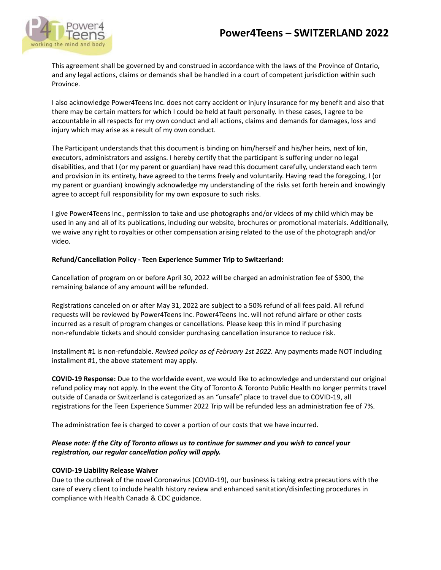

This agreement shall be governed by and construed in accordance with the laws of the Province of Ontario, and any legal actions, claims or demands shall be handled in a court of competent jurisdiction within such Province.

I also acknowledge Power4Teens Inc. does not carry accident or injury insurance for my benefit and also that there may be certain matters for which I could be held at fault personally. In these cases, I agree to be accountable in all respects for my own conduct and all actions, claims and demands for damages, loss and injury which may arise as a result of my own conduct.

The Participant understands that this document is binding on him/herself and his/her heirs, next of kin, executors, administrators and assigns. I hereby certify that the participant is suffering under no legal disabilities, and that I (or my parent or guardian) have read this document carefully, understand each term and provision in its entirety, have agreed to the terms freely and voluntarily. Having read the foregoing, I (or my parent or guardian) knowingly acknowledge my understanding of the risks set forth herein and knowingly agree to accept full responsibility for my own exposure to such risks.

I give Power4Teens Inc., permission to take and use photographs and/or videos of my child which may be used in any and all of its publications, including our website, brochures or promotional materials. Additionally, we waive any right to royalties or other compensation arising related to the use of the photograph and/or video.

# **Refund/Cancellation Policy - Teen Experience Summer Trip to Switzerland:**

Cancellation of program on or before April 30, 2022 will be charged an administration fee of \$300, the remaining balance of any amount will be refunded.

Registrations canceled on or after May 31, 2022 are subject to a 50% refund of all fees paid. All refund requests will be reviewed by Power4Teens Inc. Power4Teens Inc. will not refund airfare or other costs incurred as a result of program changes or cancellations. Please keep this in mind if purchasing non-refundable tickets and should consider purchasing cancellation insurance to reduce risk.

Installment #1 is non-refundable. *Revised policy as of February 1st 2022.* Any payments made NOT including installment #1, the above statement may apply.

**COVID-19 Response:** Due to the worldwide event, we would like to acknowledge and understand our original refund policy may not apply. In the event the City of Toronto & Toronto Public Health no longer permits travel outside of Canada or Switzerland is categorized as an "unsafe" place to travel due to COVID-19, all registrations for the Teen Experience Summer 2022 Trip will be refunded less an administration fee of 7%.

The administration fee is charged to cover a portion of our costs that we have incurred.

# *Please note: If the City of Toronto allows us to continue for summer and you wish to cancel your registration, our regular cancellation policy will apply.*

#### **COVID-19 Liability Release Waiver**

Due to the outbreak of the novel Coronavirus (COVID-19), our business is taking extra precautions with the care of every client to include health history review and enhanced sanitation/disinfecting procedures in compliance with Health Canada & CDC guidance.